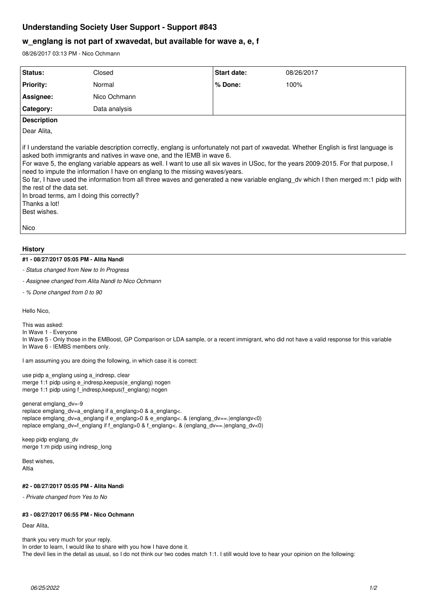# **Understanding Society User Support - Support #843**

## **w\_englang is not part of xwavedat, but available for wave a, e, f**

08/26/2017 03:13 PM - Nico Ochmann

| Status:                                                                                                                                                                                                                                                                                                                                                                                                                                                                                                                                                                                                                                                                                    | Closed        | <b>Start date:</b> | 08/26/2017 |
|--------------------------------------------------------------------------------------------------------------------------------------------------------------------------------------------------------------------------------------------------------------------------------------------------------------------------------------------------------------------------------------------------------------------------------------------------------------------------------------------------------------------------------------------------------------------------------------------------------------------------------------------------------------------------------------------|---------------|--------------------|------------|
|                                                                                                                                                                                                                                                                                                                                                                                                                                                                                                                                                                                                                                                                                            |               |                    |            |
| <b>Priority:</b>                                                                                                                                                                                                                                                                                                                                                                                                                                                                                                                                                                                                                                                                           | Normal        | % Done:            | 100%       |
| Assignee:                                                                                                                                                                                                                                                                                                                                                                                                                                                                                                                                                                                                                                                                                  | Nico Ochmann  |                    |            |
| Category:                                                                                                                                                                                                                                                                                                                                                                                                                                                                                                                                                                                                                                                                                  | Data analysis |                    |            |
| <b>Description</b>                                                                                                                                                                                                                                                                                                                                                                                                                                                                                                                                                                                                                                                                         |               |                    |            |
| Dear Alita,                                                                                                                                                                                                                                                                                                                                                                                                                                                                                                                                                                                                                                                                                |               |                    |            |
| if I understand the variable description correctly, englang is unfortunately not part of xwavedat. Whether English is first language is<br>asked both immigrants and natives in wave one, and the IEMB in wave 6.<br>For wave 5, the englang variable appears as well. I want to use all six waves in USoc, for the years 2009-2015. For that purpose, I<br>need to impute the information I have on englang to the missing waves/years.<br>So far, I have used the information from all three waves and generated a new variable englang dv which I then merged m:1 pidp with<br>the rest of the data set.<br>In broad terms, am I doing this correctly?<br>Thanks a lot!<br>Best wishes. |               |                    |            |
| Nico                                                                                                                                                                                                                                                                                                                                                                                                                                                                                                                                                                                                                                                                                       |               |                    |            |
|                                                                                                                                                                                                                                                                                                                                                                                                                                                                                                                                                                                                                                                                                            |               |                    |            |

### **History**

#### **#1 - 08/27/2017 05:05 PM - Alita Nandi**

*- Status changed from New to In Progress*

*- Assignee changed from Alita Nandi to Nico Ochmann*

*- % Done changed from 0 to 90*

Hello Nico,

This was asked:

In Wave 1 - Everyone

In Wave 5 - Only those in the EMBoost, GP Comparison or LDA sample, or a recent immigrant, who did not have a valid response for this variable In Wave 6 - IEMBS members only.

I am assuming you are doing the following, in which case it is correct:

use pidp a\_englang using a\_indresp, clear merge 1:1 pidp using e\_indresp,keepus(e\_englang) nogen merge 1:1 pidp using f\_indresp,keepus(f\_englang) nogen

generat emglang\_dv=-9 replace emglang\_dv=a\_englang if a\_englang>0 & a\_englang<. replace emglang\_dv=a\_englang if e\_englang>0 & e\_englang<. & (englang\_dv==.|englangv<0) replace emglang\_dv=f\_englang if f\_englang>0 & f\_englang<. & (englang\_dv==.|englang\_dv<0)

keep pidp englang\_dv merge 1:m pidp using indresp\_long

Best wishes, Altia

#### **#2 - 08/27/2017 05:05 PM - Alita Nandi**

*- Private changed from Yes to No*

## **#3 - 08/27/2017 06:55 PM - Nico Ochmann**

Dear Alita,

thank you very much for your reply. In order to learn, I would like to share with you how I have done it. The devil lies in the detail as usual, so I do not think our two codes match 1:1. I still would love to hear your opinion on the following: